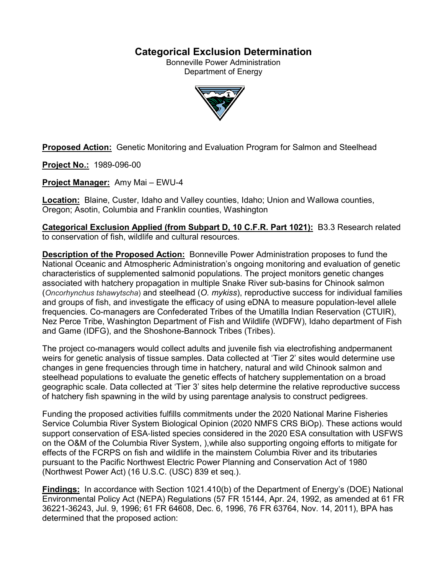## **Categorical Exclusion Determination**

Bonneville Power Administration Department of Energy



**Proposed Action:** Genetic Monitoring and Evaluation Program for Salmon and Steelhead

**Project No.:** 1989-096-00

**Project Manager:** Amy Mai – EWU-4

**Location:** Blaine, Custer, Idaho and Valley counties, Idaho; Union and Wallowa counties, Oregon; Asotin, Columbia and Franklin counties, Washington

**Categorical Exclusion Applied (from Subpart D, 10 C.F.R. Part 1021):** B3.3 Research related to conservation of fish, wildlife and cultural resources.

**Description of the Proposed Action:** Bonneville Power Administration proposes to fund the National Oceanic and Atmospheric Administration's ongoing monitoring and evaluation of genetic characteristics of supplemented salmonid populations. The project monitors genetic changes associated with hatchery propagation in multiple Snake River sub-basins for Chinook salmon (*Oncorhynchus tshawytscha*) and steelhead (*O. mykiss*), reproductive success for individual families and groups of fish, and investigate the efficacy of using eDNA to measure population-level allele frequencies. Co-managers are Confederated Tribes of the Umatilla Indian Reservation (CTUIR), Nez Perce Tribe, Washington Department of Fish and Wildlife (WDFW), Idaho department of Fish and Game (IDFG), and the Shoshone-Bannock Tribes (Tribes).

The project co-managers would collect adults and juvenile fish via electrofishing andpermanent weirs for genetic analysis of tissue samples. Data collected at 'Tier 2' sites would determine use changes in gene frequencies through time in hatchery, natural and wild Chinook salmon and steelhead populations to evaluate the genetic effects of hatchery supplementation on a broad geographic scale. Data collected at 'Tier 3' sites help determine the relative reproductive success of hatchery fish spawning in the wild by using parentage analysis to construct pedigrees.

Funding the proposed activities fulfills commitments under the 2020 National Marine Fisheries Service Columbia River System Biological Opinion (2020 NMFS CRS BiOp). These actions would support conservation of ESA‐listed species considered in the 2020 ESA consultation with USFWS on the O&M of the Columbia River System, ),while also supporting ongoing efforts to mitigate for effects of the FCRPS on fish and wildlife in the mainstem Columbia River and its tributaries pursuant to the Pacific Northwest Electric Power Planning and Conservation Act of 1980 (Northwest Power Act) (16 U.S.C. (USC) 839 et seq.).

**Findings:** In accordance with Section 1021.410(b) of the Department of Energy's (DOE) National Environmental Policy Act (NEPA) Regulations (57 FR 15144, Apr. 24, 1992, as amended at 61 FR 36221-36243, Jul. 9, 1996; 61 FR 64608, Dec. 6, 1996, 76 FR 63764, Nov. 14, 2011), BPA has determined that the proposed action: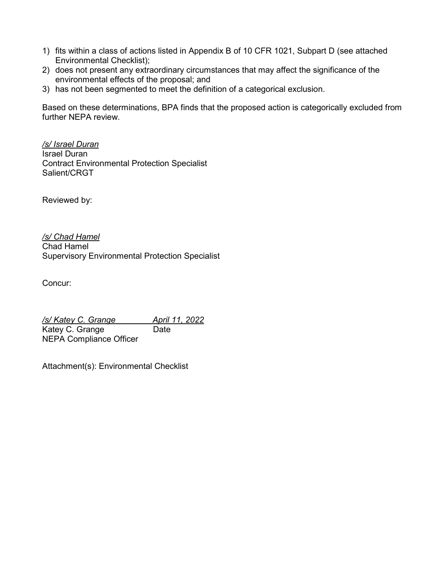- 1) fits within a class of actions listed in Appendix B of 10 CFR 1021, Subpart D (see attached Environmental Checklist);
- 2) does not present any extraordinary circumstances that may affect the significance of the environmental effects of the proposal; and
- 3) has not been segmented to meet the definition of a categorical exclusion.

Based on these determinations, BPA finds that the proposed action is categorically excluded from further NEPA review.

*/s/ Israel Duran* Israel Duran Contract Environmental Protection Specialist Salient/CRGT

Reviewed by:

*/s/ Chad Hamel* Chad Hamel Supervisory Environmental Protection Specialist

Concur:

*/s/ Katey C. Grange April 11, 2022* Katey C. Grange Date NEPA Compliance Officer

Attachment(s): Environmental Checklist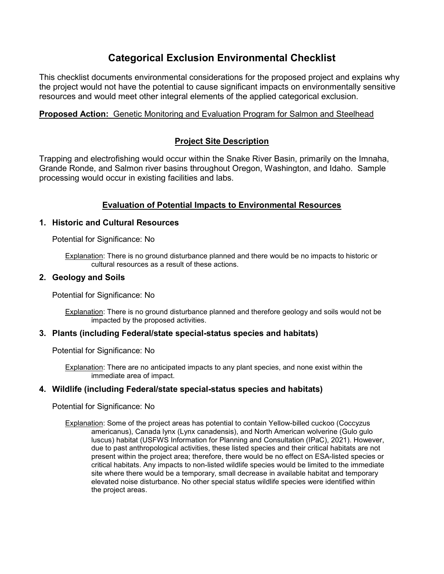# **Categorical Exclusion Environmental Checklist**

This checklist documents environmental considerations for the proposed project and explains why the project would not have the potential to cause significant impacts on environmentally sensitive resources and would meet other integral elements of the applied categorical exclusion.

## **Proposed Action:** Genetic Monitoring and Evaluation Program for Salmon and Steelhead

## **Project Site Description**

Trapping and electrofishing would occur within the Snake River Basin, primarily on the Imnaha, Grande Ronde, and Salmon river basins throughout Oregon, Washington, and Idaho. Sample processing would occur in existing facilities and labs.

## **Evaluation of Potential Impacts to Environmental Resources**

#### **1. Historic and Cultural Resources**

Potential for Significance: No

Explanation: There is no ground disturbance planned and there would be no impacts to historic or cultural resources as a result of these actions.

#### **2. Geology and Soils**

Potential for Significance: No

Explanation: There is no ground disturbance planned and therefore geology and soils would not be impacted by the proposed activities.

#### **3. Plants (including Federal/state special-status species and habitats)**

Potential for Significance: No

Explanation: There are no anticipated impacts to any plant species, and none exist within the immediate area of impact.

#### **4. Wildlife (including Federal/state special-status species and habitats)**

Potential for Significance: No

Explanation: Some of the project areas has potential to contain Yellow-billed cuckoo (Coccyzus americanus), Canada lynx (Lynx canadensis), and North American wolverine (Gulo gulo luscus) habitat (USFWS Information for Planning and Consultation (IPaC), 2021). However, due to past anthropological activities, these listed species and their critical habitats are not present within the project area; therefore, there would be no effect on ESA-listed species or critical habitats. Any impacts to non-listed wildlife species would be limited to the immediate site where there would be a temporary, small decrease in available habitat and temporary elevated noise disturbance. No other special status wildlife species were identified within the project areas.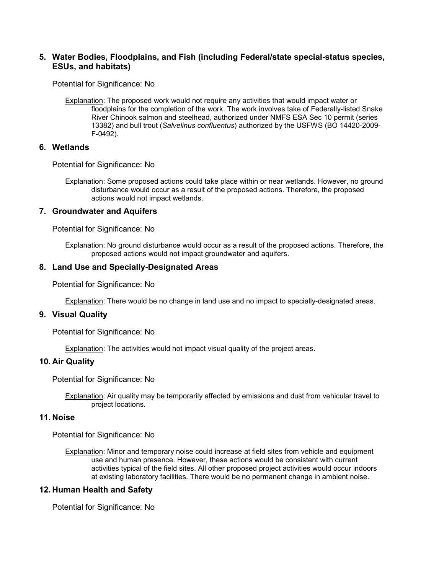#### **5. Water Bodies, Floodplains, and Fish (including Federal/state special-status species, ESUs, and habitats)**

Potential for Significance: No

Explanation: The proposed work would not require any activities that would impact water or floodplains for the completion of the work. The work involves take of Federally-listed Snake River Chinook salmon and steelhead, authorized under NMFS ESA Sec 10 permit (series 13382) and bull trout (*Salvelinus confluentus*) authorized by the USFWS (BO 14420-2009- F-0492).

#### **6. Wetlands**

Potential for Significance: No

Explanation: Some proposed actions could take place within or near wetlands. However, no ground disturbance would occur as a result of the proposed actions. Therefore, the proposed actions would not impact wetlands.

#### **7. Groundwater and Aquifers**

Potential for Significance: No

Explanation: No ground disturbance would occur as a result of the proposed actions. Therefore, the proposed actions would not impact groundwater and aquifers.

#### **8. Land Use and Specially-Designated Areas**

Potential for Significance: No

Explanation: There would be no change in land use and no impact to specially-designated areas.

#### **9. Visual Quality**

Potential for Significance: No

Explanation: The activities would not impact visual quality of the project areas.

#### **10. Air Quality**

Potential for Significance: No

Explanation: Air quality may be temporarily affected by emissions and dust from vehicular travel to project locations.

#### **11. Noise**

Potential for Significance: No

Explanation: Minor and temporary noise could increase at field sites from vehicle and equipment use and human presence. However, these actions would be consistent with current activities typical of the field sites. All other proposed project activities would occur indoors at existing laboratory facilities. There would be no permanent change in ambient noise.

#### **12. Human Health and Safety**

Potential for Significance: No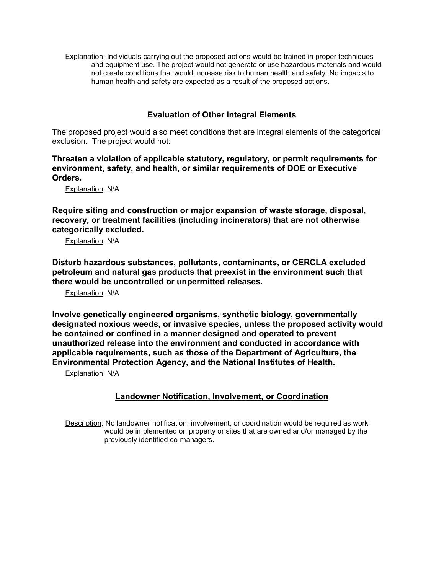Explanation: Individuals carrying out the proposed actions would be trained in proper techniques and equipment use. The project would not generate or use hazardous materials and would not create conditions that would increase risk to human health and safety. No impacts to human health and safety are expected as a result of the proposed actions.

## **Evaluation of Other Integral Elements**

The proposed project would also meet conditions that are integral elements of the categorical exclusion. The project would not:

**Threaten a violation of applicable statutory, regulatory, or permit requirements for environment, safety, and health, or similar requirements of DOE or Executive Orders.**

Explanation: N/A

**Require siting and construction or major expansion of waste storage, disposal, recovery, or treatment facilities (including incinerators) that are not otherwise categorically excluded.**

Explanation: N/A

**Disturb hazardous substances, pollutants, contaminants, or CERCLA excluded petroleum and natural gas products that preexist in the environment such that there would be uncontrolled or unpermitted releases.**

Explanation: N/A

**Involve genetically engineered organisms, synthetic biology, governmentally designated noxious weeds, or invasive species, unless the proposed activity would be contained or confined in a manner designed and operated to prevent unauthorized release into the environment and conducted in accordance with applicable requirements, such as those of the Department of Agriculture, the Environmental Protection Agency, and the National Institutes of Health.**

Explanation: N/A

## **Landowner Notification, Involvement, or Coordination**

Description: No landowner notification, involvement, or coordination would be required as work would be implemented on property or sites that are owned and/or managed by the previously identified co-managers.